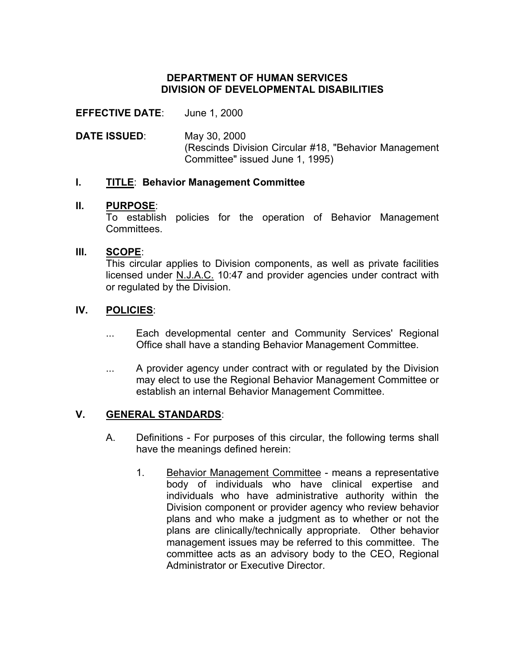## **DEPARTMENT OF HUMAN SERVICES DIVISION OF DEVELOPMENTAL DISABILITIES**

## **EFFECTIVE DATE**: June 1, 2000

**DATE ISSUED**: May 30, 2000 (Rescinds Division Circular #18, "Behavior Management Committee" issued June 1, 1995)

## **I. TITLE**: **Behavior Management Committee**

## **II. PURPOSE**:

To establish policies for the operation of Behavior Management **Committees** 

## **III. SCOPE**:

This circular applies to Division components, as well as private facilities licensed under N.J.A.C. 10:47 and provider agencies under contract with or regulated by the Division.

## **IV. POLICIES**:

- ... Each developmental center and Community Services' Regional Office shall have a standing Behavior Management Committee.
- ... A provider agency under contract with or regulated by the Division may elect to use the Regional Behavior Management Committee or establish an internal Behavior Management Committee.

## **V. GENERAL STANDARDS**:

- A. Definitions For purposes of this circular, the following terms shall have the meanings defined herein:
	- 1. Behavior Management Committee means a representative body of individuals who have clinical expertise and individuals who have administrative authority within the Division component or provider agency who review behavior plans and who make a judgment as to whether or not the plans are clinically/technically appropriate. Other behavior management issues may be referred to this committee. The committee acts as an advisory body to the CEO, Regional Administrator or Executive Director.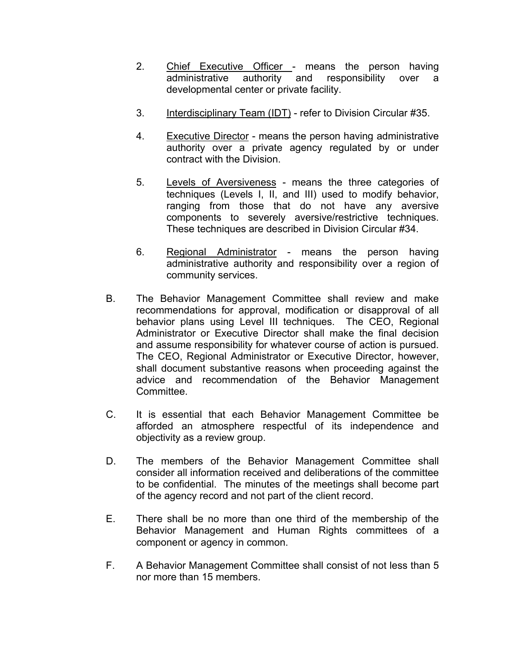- 2. Chief Executive Officer means the person having administrative authority and responsibility over a developmental center or private facility.
- 3. Interdisciplinary Team (IDT) refer to Division Circular #35.
- 4. Executive Director means the person having administrative authority over a private agency regulated by or under contract with the Division.
- 5. Levels of Aversiveness means the three categories of techniques (Levels I, II, and III) used to modify behavior, ranging from those that do not have any aversive components to severely aversive/restrictive techniques. These techniques are described in Division Circular #34.
- 6. Regional Administrator means the person having administrative authority and responsibility over a region of community services.
- B. The Behavior Management Committee shall review and make recommendations for approval, modification or disapproval of all behavior plans using Level III techniques. The CEO, Regional Administrator or Executive Director shall make the final decision and assume responsibility for whatever course of action is pursued. The CEO, Regional Administrator or Executive Director, however, shall document substantive reasons when proceeding against the advice and recommendation of the Behavior Management Committee.
- C. It is essential that each Behavior Management Committee be afforded an atmosphere respectful of its independence and objectivity as a review group.
- D. The members of the Behavior Management Committee shall consider all information received and deliberations of the committee to be confidential. The minutes of the meetings shall become part of the agency record and not part of the client record.
- E. There shall be no more than one third of the membership of the Behavior Management and Human Rights committees of a component or agency in common.
- F. A Behavior Management Committee shall consist of not less than 5 nor more than 15 members.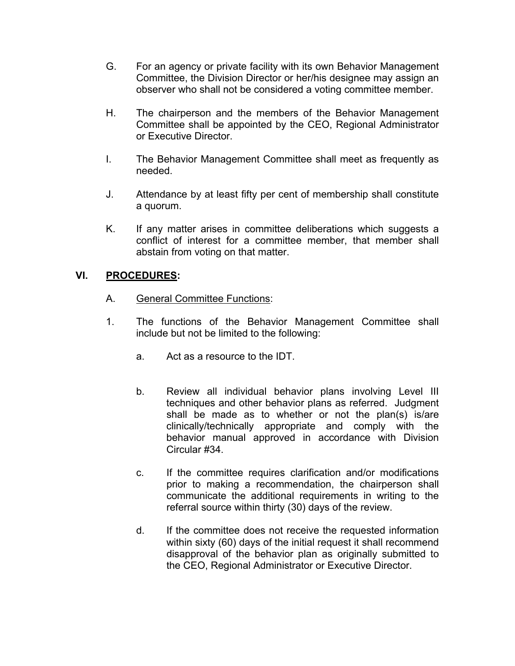- G. For an agency or private facility with its own Behavior Management Committee, the Division Director or her/his designee may assign an observer who shall not be considered a voting committee member.
- H. The chairperson and the members of the Behavior Management Committee shall be appointed by the CEO, Regional Administrator or Executive Director.
- I. The Behavior Management Committee shall meet as frequently as needed.
- J. Attendance by at least fifty per cent of membership shall constitute a quorum.
- K. If any matter arises in committee deliberations which suggests a conflict of interest for a committee member, that member shall abstain from voting on that matter.

## **VI. PROCEDURES:**

- A. General Committee Functions:
- 1. The functions of the Behavior Management Committee shall include but not be limited to the following:
	- a. Act as a resource to the IDT.
	- b. Review all individual behavior plans involving Level III techniques and other behavior plans as referred. Judgment shall be made as to whether or not the plan(s) is/are clinically/technically appropriate and comply with the behavior manual approved in accordance with Division Circular #34.
	- c. If the committee requires clarification and/or modifications prior to making a recommendation, the chairperson shall communicate the additional requirements in writing to the referral source within thirty (30) days of the review.
	- d. If the committee does not receive the requested information within sixty (60) days of the initial request it shall recommend disapproval of the behavior plan as originally submitted to the CEO, Regional Administrator or Executive Director.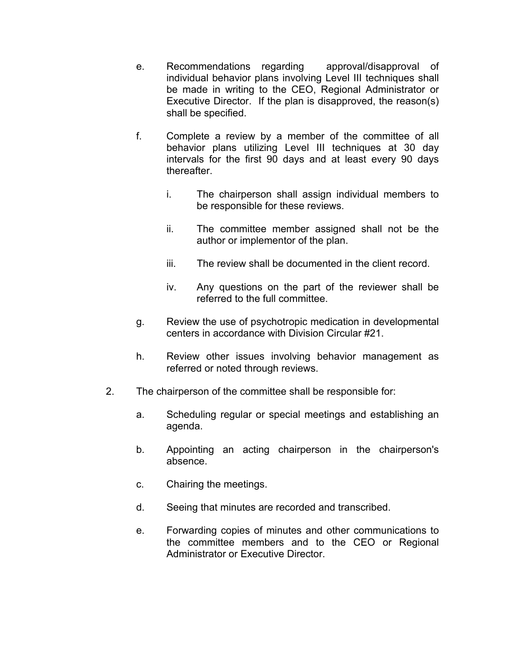- e. Recommendations regarding approval/disapproval of individual behavior plans involving Level III techniques shall be made in writing to the CEO, Regional Administrator or Executive Director. If the plan is disapproved, the reason(s) shall be specified.
- f. Complete a review by a member of the committee of all behavior plans utilizing Level III techniques at 30 day intervals for the first 90 days and at least every 90 days thereafter.
	- i. The chairperson shall assign individual members to be responsible for these reviews.
	- ii. The committee member assigned shall not be the author or implementor of the plan.
	- iii. The review shall be documented in the client record.
	- iv. Any questions on the part of the reviewer shall be referred to the full committee.
- g. Review the use of psychotropic medication in developmental centers in accordance with Division Circular #21.
- h. Review other issues involving behavior management as referred or noted through reviews.
- 2. The chairperson of the committee shall be responsible for:
	- a. Scheduling regular or special meetings and establishing an agenda.
	- b. Appointing an acting chairperson in the chairperson's absence.
	- c. Chairing the meetings.
	- d. Seeing that minutes are recorded and transcribed.
	- e. Forwarding copies of minutes and other communications to the committee members and to the CEO or Regional Administrator or Executive Director.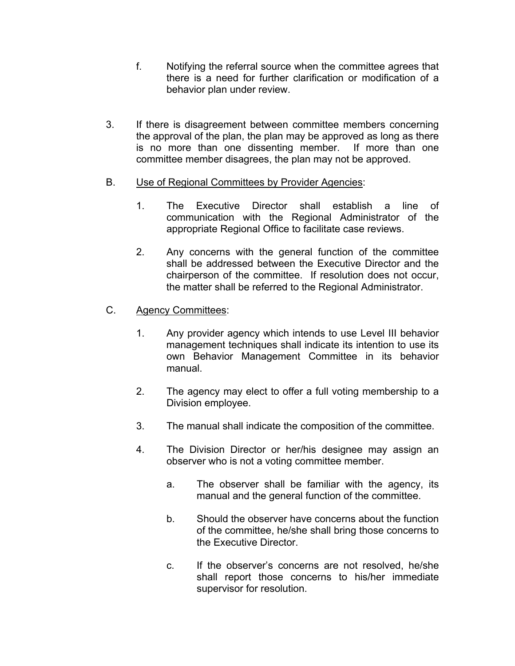- f. Notifying the referral source when the committee agrees that there is a need for further clarification or modification of a behavior plan under review.
- 3. If there is disagreement between committee members concerning the approval of the plan, the plan may be approved as long as there is no more than one dissenting member. If more than one committee member disagrees, the plan may not be approved.

## B. Use of Regional Committees by Provider Agencies:

- 1. The Executive Director shall establish a line of communication with the Regional Administrator of the appropriate Regional Office to facilitate case reviews.
- 2. Any concerns with the general function of the committee shall be addressed between the Executive Director and the chairperson of the committee. If resolution does not occur, the matter shall be referred to the Regional Administrator.

# C. Agency Committees:

- 1. Any provider agency which intends to use Level III behavior management techniques shall indicate its intention to use its own Behavior Management Committee in its behavior manual.
- 2. The agency may elect to offer a full voting membership to a Division employee.
- 3. The manual shall indicate the composition of the committee.
- 4. The Division Director or her/his designee may assign an observer who is not a voting committee member.
	- a. The observer shall be familiar with the agency, its manual and the general function of the committee.
	- b. Should the observer have concerns about the function of the committee, he/she shall bring those concerns to the Executive Director.
	- c. If the observer's concerns are not resolved, he/she shall report those concerns to his/her immediate supervisor for resolution.